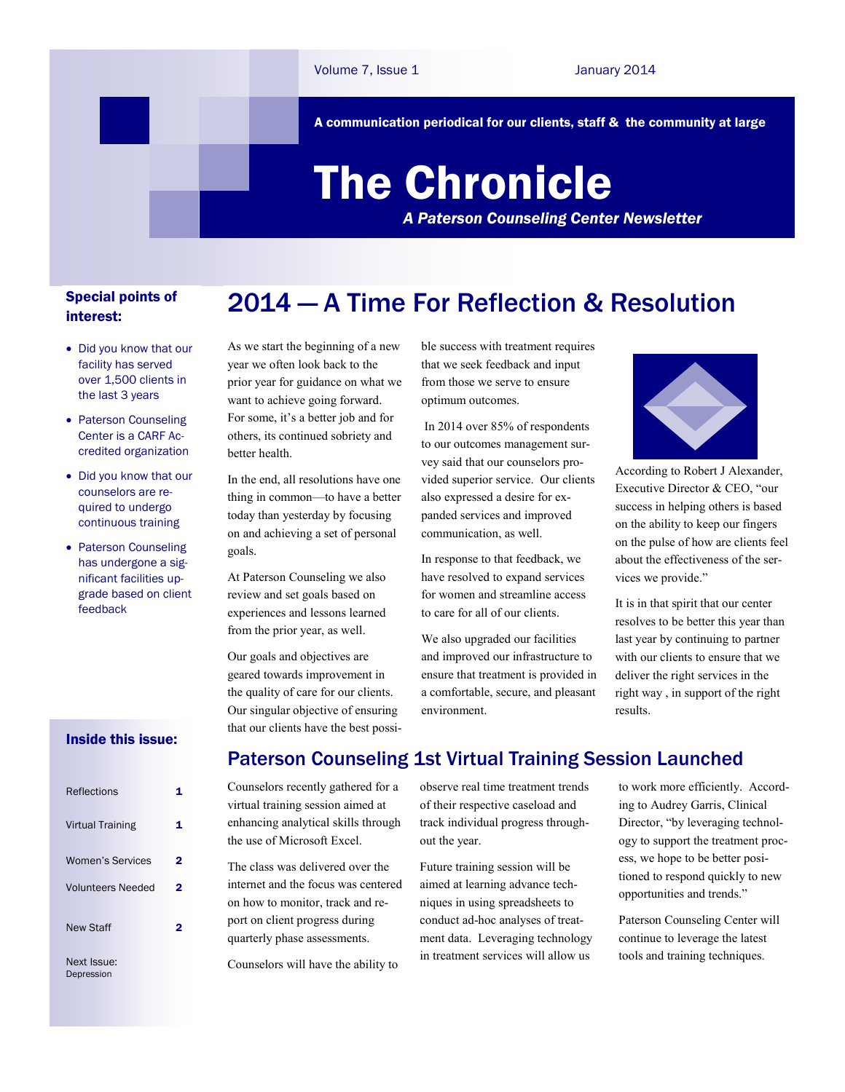A communication periodical for our clients, staff & the community at large

# The Chronicle

*A Paterson Counseling Center Newsletter*

### Special points of interest:

- Did you know that our facility has served over 1,500 clients in the last 3 years
- Paterson Counseling Center is a CARF Accredited organization
- Did you know that our counselors are required to undergo continuous training
- Paterson Counseling has undergone a significant facilities upgrade based on client feedback

## 2014 — A Time For Reflection & Resolution

As we start the beginning of a new year we often look back to the prior year for guidance on what we want to achieve going forward. For some, it's a better job and for others, its continued sobriety and better health.

In the end, all resolutions have one thing in common—to have a better today than yesterday by focusing on and achieving a set of personal goals.

At Paterson Counseling we also review and set goals based on experiences and lessons learned from the prior year, as well.

Our goals and objectives are geared towards improvement in the quality of care for our clients. Our singular objective of ensuring that our clients have the best possible success with treatment requires that we seek feedback and input from those we serve to ensure optimum outcomes.

In 2014 over 85% of respondents to our outcomes management survey said that our counselors provided superior service. Our clients also expressed a desire for expanded services and improved communication, as well.

In response to that feedback, we have resolved to expand services for women and streamline access to care for all of our clients.

We also upgraded our facilities and improved our infrastructure to ensure that treatment is provided in a comfortable, secure, and pleasant environment.



According to Robert J Alexander, Executive Director & CEO, "our success in helping others is based on the ability to keep our fingers on the pulse of how are clients feel about the effectiveness of the services we provide."

It is in that spirit that our center resolves to be better this year than last year by continuing to partner with our clients to ensure that we deliver the right services in the right way , in support of the right results.

#### Inside this issue:

| Reflections               |   |
|---------------------------|---|
| <b>Virtual Training</b>   |   |
| <b>Women's Services</b>   |   |
| <b>Volunteers Needed</b>  | 2 |
| <b>New Staff</b>          |   |
| Next Issue:<br>Depression |   |

## Paterson Counseling 1st Virtual Training Session Launched

Counselors recently gathered for a virtual training session aimed at enhancing analytical skills through the use of Microsoft Excel.

The class was delivered over the internet and the focus was centered on how to monitor, track and report on client progress during quarterly phase assessments.

Counselors will have the ability to

observe real time treatment trends of their respective caseload and track individual progress throughout the year.

Future training session will be aimed at learning advance techniques in using spreadsheets to conduct ad-hoc analyses of treatment data. Leveraging technology in treatment services will allow us

to work more efficiently. According to Audrey Garris, Clinical Director, "by leveraging technology to support the treatment process, we hope to be better positioned to respond quickly to new opportunities and trends."

Paterson Counseling Center will continue to leverage the latest tools and training techniques.